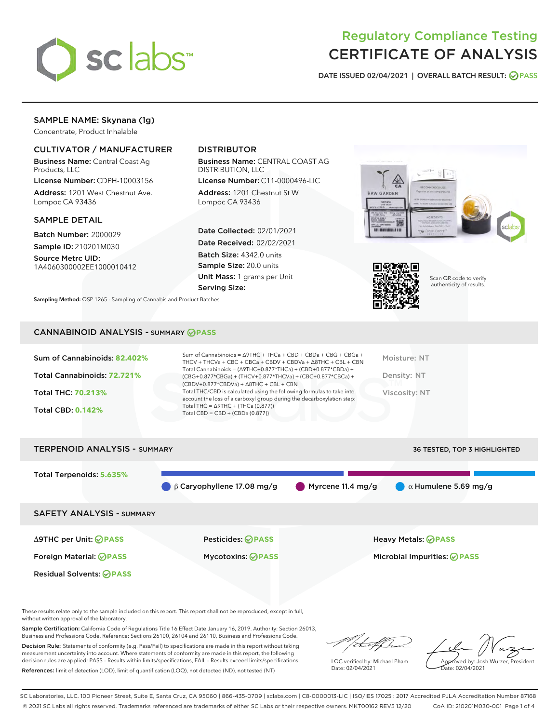

# Regulatory Compliance Testing CERTIFICATE OF ANALYSIS

DATE ISSUED 02/04/2021 | OVERALL BATCH RESULT: @ PASS

# SAMPLE NAME: Skynana (1g)

Concentrate, Product Inhalable

# CULTIVATOR / MANUFACTURER

Business Name: Central Coast Ag Products, LLC

License Number: CDPH-10003156 Address: 1201 West Chestnut Ave. Lompoc CA 93436

SAMPLE DETAIL

Batch Number: 2000029 Sample ID: 210201M030

Source Metrc UID: 1A4060300002EE1000010412

# DISTRIBUTOR

Business Name: CENTRAL COAST AG DISTRIBUTION, LLC

License Number: C11-0000496-LIC Address: 1201 Chestnut St W Lompoc CA 93436

Date Collected: 02/01/2021 Date Received: 02/02/2021 Batch Size: 4342.0 units Sample Size: 20.0 units Unit Mass: 1 grams per Unit Serving Size:





Scan QR code to verify authenticity of results.

CANNABINOID ANALYSIS - SUMMARY **PASS**

Sampling Method: QSP 1265 - Sampling of Cannabis and Product Batches

| Sum of Cannabinoids: 82.402% | Sum of Cannabinoids = $\triangle$ 9THC + THCa + CBD + CBDa + CBG + CBGa +<br>THCV + THCVa + CBC + CBCa + CBDV + CBDVa + $\triangle$ 8THC + CBL + CBN                                 | Moisture: NT  |
|------------------------------|--------------------------------------------------------------------------------------------------------------------------------------------------------------------------------------|---------------|
| Total Cannabinoids: 72.721%  | Total Cannabinoids = $(\Delta$ 9THC+0.877*THCa) + (CBD+0.877*CBDa) +<br>(CBG+0.877*CBGa) + (THCV+0.877*THCVa) + (CBC+0.877*CBCa) +<br>$(CBDV+0.877*CBDVa) + \Delta 8THC + CBL + CBN$ | Density: NT   |
| <b>Total THC: 70.213%</b>    | Total THC/CBD is calculated using the following formulas to take into<br>account the loss of a carboxyl group during the decarboxylation step:                                       | Viscosity: NT |
| <b>Total CBD: 0.142%</b>     | Total THC = $\triangle$ 9THC + (THCa (0.877))<br>Total CBD = $CBD + (CBDa (0.877))$                                                                                                  |               |
|                              |                                                                                                                                                                                      |               |

TERPENOID ANALYSIS - SUMMARY 36 TESTED, TOP 3 HIGHLIGHTED Total Terpenoids: **5.635%** β Caryophyllene 17.08 mg/g Myrcene 11.4 mg/g  $\alpha$  Humulene 5.69 mg/g SAFETY ANALYSIS - SUMMARY Δ9THC per Unit: **PASS** Pesticides: **PASS** Heavy Metals: **PASS** Foreign Material: **PASS** Mycotoxins: **PASS** Microbial Impurities: **PASS** Residual Solvents: **PASS** 

These results relate only to the sample included on this report. This report shall not be reproduced, except in full, without written approval of the laboratory.

Sample Certification: California Code of Regulations Title 16 Effect Date January 16, 2019. Authority: Section 26013, Business and Professions Code. Reference: Sections 26100, 26104 and 26110, Business and Professions Code.

Decision Rule: Statements of conformity (e.g. Pass/Fail) to specifications are made in this report without taking measurement uncertainty into account. Where statements of conformity are made in this report, the following decision rules are applied: PASS – Results within limits/specifications, FAIL – Results exceed limits/specifications. References: limit of detection (LOD), limit of quantification (LOQ), not detected (ND), not tested (NT)

that fCh

LQC verified by: Michael Pham Date: 02/04/2021

Approved by: Josh Wurzer, President ate: 02/04/2021

SC Laboratories, LLC. 100 Pioneer Street, Suite E, Santa Cruz, CA 95060 | 866-435-0709 | sclabs.com | C8-0000013-LIC | ISO/IES 17025 : 2017 Accredited PJLA Accreditation Number 87168 © 2021 SC Labs all rights reserved. Trademarks referenced are trademarks of either SC Labs or their respective owners. MKT00162 REV5 12/20 CoA ID: 210201M030-001 Page 1 of 4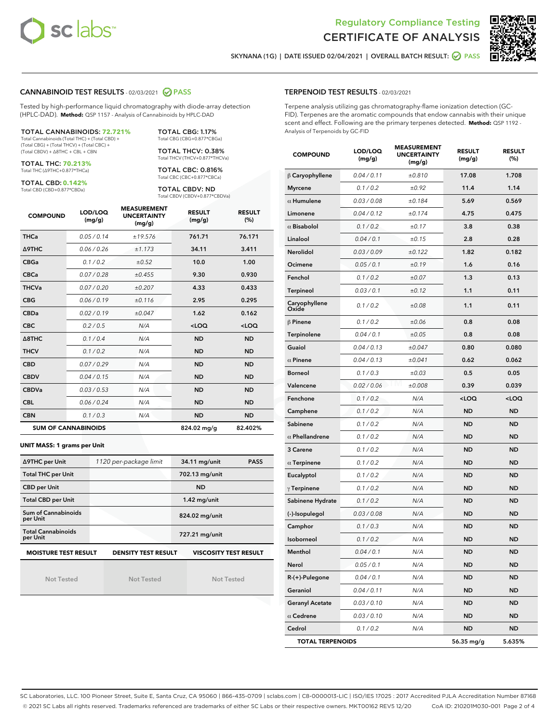



SKYNANA (1G) | DATE ISSUED 02/04/2021 | OVERALL BATCH RESULT: O PASS

## CANNABINOID TEST RESULTS - 02/03/2021 2 PASS

Tested by high-performance liquid chromatography with diode-array detection (HPLC-DAD). **Method:** QSP 1157 - Analysis of Cannabinoids by HPLC-DAD

TOTAL CANNABINOIDS: **72.721%** Total Cannabinoids (Total THC) + (Total CBD) + (Total CBG) + (Total THCV) + (Total CBC) +

(Total CBDV) + ∆8THC + CBL + CBN

TOTAL THC: **70.213%** Total THC (∆9THC+0.877\*THCa)

TOTAL CBD: **0.142%**

Total CBD (CBD+0.877\*CBDa)

TOTAL CBG: 1.17% Total CBG (CBG+0.877\*CBGa) TOTAL THCV: 0.38% Total THCV (THCV+0.877\*THCVa)

TOTAL CBC: 0.816% Total CBC (CBC+0.877\*CBCa)

TOTAL CBDV: ND Total CBDV (CBDV+0.877\*CBDVa)

| <b>COMPOUND</b>  | LOD/LOQ<br>(mg/g)          | <b>MEASUREMENT</b><br><b>UNCERTAINTY</b><br>(mg/g) | <b>RESULT</b><br>(mg/g) | <b>RESULT</b><br>(%) |
|------------------|----------------------------|----------------------------------------------------|-------------------------|----------------------|
| <b>THCa</b>      | 0.05/0.14                  | ±19.576                                            | 761.71                  | 76.171               |
| <b>A9THC</b>     | 0.06/0.26                  | ±1.173                                             | 34.11                   | 3.411                |
| <b>CBGa</b>      | 0.1 / 0.2                  | ±0.52                                              | 10.0                    | 1.00                 |
| <b>CBCa</b>      | 0.07/0.28                  | ±0.455                                             | 9.30                    | 0.930                |
| <b>THCVa</b>     | 0.07/0.20                  | ±0.207                                             | 4.33                    | 0.433                |
| <b>CBG</b>       | 0.06/0.19                  | ±0.116                                             | 2.95                    | 0.295                |
| <b>CBDa</b>      | 0.02/0.19                  | ±0.047                                             | 1.62                    | 0.162                |
| <b>CBC</b>       | 0.2/0.5                    | N/A                                                | $<$ LOQ                 | $<$ LOQ              |
| $\triangle$ 8THC | 0.1/0.4                    | N/A                                                | <b>ND</b>               | <b>ND</b>            |
| <b>THCV</b>      | 0.1/0.2                    | N/A                                                | <b>ND</b>               | <b>ND</b>            |
| <b>CBD</b>       | 0.07/0.29                  | N/A                                                | <b>ND</b>               | <b>ND</b>            |
| <b>CBDV</b>      | 0.04 / 0.15                | N/A                                                | <b>ND</b>               | <b>ND</b>            |
| <b>CBDVa</b>     | 0.03/0.53                  | N/A                                                | <b>ND</b>               | <b>ND</b>            |
| <b>CBL</b>       | 0.06 / 0.24                | N/A                                                | <b>ND</b>               | <b>ND</b>            |
| <b>CBN</b>       | 0.1/0.3                    | N/A                                                | <b>ND</b>               | <b>ND</b>            |
|                  | <b>SUM OF CANNABINOIDS</b> |                                                    | 824.02 mg/g             | 82.402%              |

#### **UNIT MASS: 1 grams per Unit**

| ∆9THC per Unit                                                                            | 1120 per-package limit | 34.11 mg/unit<br><b>PASS</b> |  |  |  |
|-------------------------------------------------------------------------------------------|------------------------|------------------------------|--|--|--|
| <b>Total THC per Unit</b>                                                                 |                        | 702.13 mg/unit               |  |  |  |
| <b>CBD per Unit</b>                                                                       |                        | <b>ND</b>                    |  |  |  |
| <b>Total CBD per Unit</b>                                                                 |                        | $1.42$ mg/unit               |  |  |  |
| Sum of Cannabinoids<br>per Unit                                                           |                        | 824.02 mg/unit               |  |  |  |
| <b>Total Cannabinoids</b><br>per Unit                                                     |                        | 727.21 mg/unit               |  |  |  |
| <b>MOISTURE TEST RESULT</b><br><b>VISCOSITY TEST RESULT</b><br><b>DENSITY TEST RESULT</b> |                        |                              |  |  |  |

Not Tested

Not Tested

Not Tested

#### TERPENOID TEST RESULTS - 02/03/2021

Terpene analysis utilizing gas chromatography-flame ionization detection (GC-FID). Terpenes are the aromatic compounds that endow cannabis with their unique scent and effect. Following are the primary terpenes detected. **Method:** QSP 1192 - Analysis of Terpenoids by GC-FID

| <b>COMPOUND</b>         | LOD/LOQ<br>(mg/g) | <b>MEASUREMENT</b><br><b>UNCERTAINTY</b><br>(mg/g) | <b>RESULT</b><br>(mg/g)                         | <b>RESULT</b><br>$(\%)$ |
|-------------------------|-------------------|----------------------------------------------------|-------------------------------------------------|-------------------------|
| $\beta$ Caryophyllene   | 0.04 / 0.11       | ±0.810                                             | 17.08                                           | 1.708                   |
| <b>Myrcene</b>          | 0.1 / 0.2         | ±0.92                                              | 11.4                                            | 1.14                    |
| $\alpha$ Humulene       | 0.03 / 0.08       | ±0.184                                             | 5.69                                            | 0.569                   |
| Limonene                | 0.04 / 0.12       | ±0.174                                             | 4.75                                            | 0.475                   |
| $\alpha$ Bisabolol      | 0.1 / 0.2         | ±0.17                                              | 3.8                                             | 0.38                    |
| Linalool                | 0.04 / 0.1        | ±0.15                                              | 2.8                                             | 0.28                    |
| Nerolidol               | 0.03/0.09         | ±0.122                                             | 1.82                                            | 0.182                   |
| Ocimene                 | 0.05 / 0.1        | ±0.19                                              | 1.6                                             | 0.16                    |
| Fenchol                 | 0.1 / 0.2         | ±0.07                                              | 1.3                                             | 0.13                    |
| <b>Terpineol</b>        | 0.03 / 0.1        | ±0.12                                              | 1.1                                             | 0.11                    |
| Caryophyllene<br>Oxide  | 0.1 / 0.2         | ±0.08                                              | 1.1                                             | 0.11                    |
| $\beta$ Pinene          | 0.1 / 0.2         | ±0.06                                              | 0.8                                             | 0.08                    |
| Terpinolene             | 0.04 / 0.1        | ±0.05                                              | 0.8                                             | 0.08                    |
| Guaiol                  | 0.04 / 0.13       | ±0.047                                             | 0.80                                            | 0.080                   |
| $\alpha$ Pinene         | 0.04 / 0.13       | ±0.041                                             | 0.62                                            | 0.062                   |
| <b>Borneol</b>          | 0.1 / 0.3         | ±0.03                                              | 0.5                                             | 0.05                    |
| Valencene               | 0.02 / 0.06       | ±0.008                                             | 0.39                                            | 0.039                   |
| Fenchone                | 0.1 / 0.2         | N/A                                                | <loq< th=""><th><loq< th=""></loq<></th></loq<> | <loq< th=""></loq<>     |
| Camphene                | 0.1 / 0.2         | N/A                                                | <b>ND</b>                                       | <b>ND</b>               |
| Sabinene                | 0.1 / 0.2         | N/A                                                | <b>ND</b>                                       | <b>ND</b>               |
| $\alpha$ Phellandrene   | 0.1 / 0.2         | N/A                                                | ND                                              | <b>ND</b>               |
| 3 Carene                | 0.1 / 0.2         | N/A                                                | ND                                              | <b>ND</b>               |
| $\alpha$ Terpinene      | 0.1 / 0.2         | N/A                                                | <b>ND</b>                                       | <b>ND</b>               |
| Eucalyptol              | 0.1 / 0.2         | N/A                                                | ND                                              | <b>ND</b>               |
| $\gamma$ Terpinene      | 0.1 / 0.2         | N/A                                                | ND                                              | <b>ND</b>               |
| Sabinene Hydrate        | 0.1 / 0.2         | N/A                                                | <b>ND</b>                                       | <b>ND</b>               |
| (-)-Isopulegol          | 0.03 / 0.08       | N/A                                                | ND                                              | <b>ND</b>               |
| Camphor                 | 0.1 / 0.3         | N/A                                                | ND                                              | <b>ND</b>               |
| Isoborneol              | 0.1 / 0.2         | N/A                                                | <b>ND</b>                                       | <b>ND</b>               |
| Menthol                 | 0.04 / 0.1        | N/A                                                | <b>ND</b>                                       | <b>ND</b>               |
| Nerol                   | 0.05 / 0.1        | N/A                                                | ND                                              | ND                      |
| R-(+)-Pulegone          | 0.04 / 0.1        | N/A                                                | <b>ND</b>                                       | ND                      |
| Geraniol                | 0.04 / 0.11       | N/A                                                | ND                                              | ND                      |
| <b>Geranyl Acetate</b>  | 0.03 / 0.10       | N/A                                                | ND                                              | ND                      |
| $\alpha$ Cedrene        | 0.03 / 0.10       | N/A                                                | <b>ND</b>                                       | ND                      |
| Cedrol                  | 0.1 / 0.2         | N/A                                                | <b>ND</b>                                       | ND                      |
| <b>TOTAL TERPENOIDS</b> |                   |                                                    | 56.35 mg/g                                      | 5.635%                  |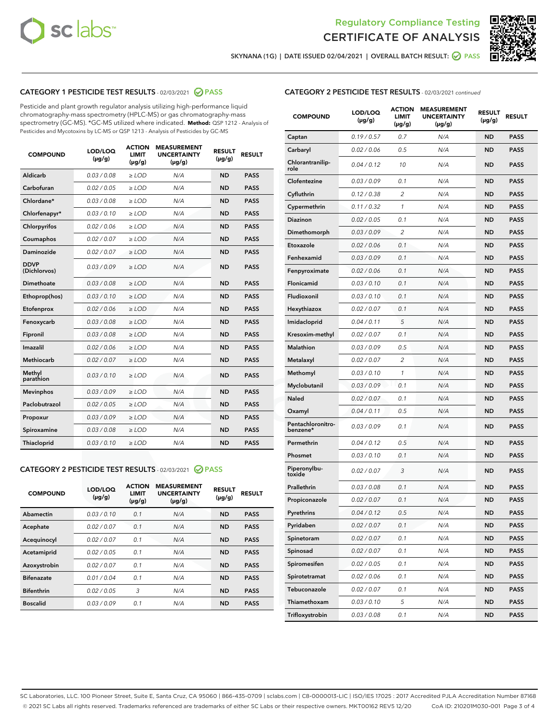



SKYNANA (1G) | DATE ISSUED 02/04/2021 | OVERALL BATCH RESULT: 2 PASS

# CATEGORY 1 PESTICIDE TEST RESULTS - 02/03/2021 2 PASS

Pesticide and plant growth regulator analysis utilizing high-performance liquid chromatography-mass spectrometry (HPLC-MS) or gas chromatography-mass spectrometry (GC-MS). \*GC-MS utilized where indicated. **Method:** QSP 1212 - Analysis of Pesticides and Mycotoxins by LC-MS or QSP 1213 - Analysis of Pesticides by GC-MS

| <b>COMPOUND</b>             | LOD/LOQ<br>$(\mu g/g)$ | <b>ACTION</b><br><b>LIMIT</b><br>$(\mu g/g)$ | <b>MEASUREMENT</b><br><b>UNCERTAINTY</b><br>$(\mu g/g)$ | <b>RESULT</b><br>$(\mu g/g)$ | <b>RESULT</b> |
|-----------------------------|------------------------|----------------------------------------------|---------------------------------------------------------|------------------------------|---------------|
| Aldicarb                    | 0.03 / 0.08            | $\ge$ LOD                                    | N/A                                                     | <b>ND</b>                    | <b>PASS</b>   |
| Carbofuran                  | 0.02 / 0.05            | $\ge$ LOD                                    | N/A                                                     | <b>ND</b>                    | <b>PASS</b>   |
| Chlordane*                  | 0.03/0.08              | $\ge$ LOD                                    | N/A                                                     | <b>ND</b>                    | <b>PASS</b>   |
| Chlorfenapyr*               | 0.03/0.10              | $\ge$ LOD                                    | N/A                                                     | <b>ND</b>                    | <b>PASS</b>   |
| Chlorpyrifos                | 0.02 / 0.06            | $\ge$ LOD                                    | N/A                                                     | <b>ND</b>                    | <b>PASS</b>   |
| Coumaphos                   | 0.02 / 0.07            | $\ge$ LOD                                    | N/A                                                     | <b>ND</b>                    | <b>PASS</b>   |
| Daminozide                  | 0.02/0.07              | $>$ LOD                                      | N/A                                                     | <b>ND</b>                    | <b>PASS</b>   |
| <b>DDVP</b><br>(Dichlorvos) | 0.03/0.09              | $>$ LOD                                      | N/A                                                     | <b>ND</b>                    | <b>PASS</b>   |
| Dimethoate                  | 0.03/0.08              | $\ge$ LOD                                    | N/A                                                     | <b>ND</b>                    | <b>PASS</b>   |
| Ethoprop(hos)               | 0.03/0.10              | $>$ LOD                                      | N/A                                                     | <b>ND</b>                    | <b>PASS</b>   |
| Etofenprox                  | 0.02 / 0.06            | $\ge$ LOD                                    | N/A                                                     | <b>ND</b>                    | <b>PASS</b>   |
| Fenoxycarb                  | 0.03/0.08              | $\ge$ LOD                                    | N/A                                                     | <b>ND</b>                    | <b>PASS</b>   |
| Fipronil                    | 0.03/0.08              | $>$ LOD                                      | N/A                                                     | <b>ND</b>                    | <b>PASS</b>   |
| Imazalil                    | 0.02 / 0.06            | $\ge$ LOD                                    | N/A                                                     | <b>ND</b>                    | <b>PASS</b>   |
| <b>Methiocarb</b>           | 0.02 / 0.07            | $\ge$ LOD                                    | N/A                                                     | <b>ND</b>                    | <b>PASS</b>   |
| Methyl<br>parathion         | 0.03/0.10              | $\ge$ LOD                                    | N/A                                                     | <b>ND</b>                    | <b>PASS</b>   |
| <b>Mevinphos</b>            | 0.03/0.09              | $\ge$ LOD                                    | N/A                                                     | <b>ND</b>                    | <b>PASS</b>   |
| Paclobutrazol               | 0.02 / 0.05            | $\ge$ LOD                                    | N/A                                                     | <b>ND</b>                    | <b>PASS</b>   |
| Propoxur                    | 0.03/0.09              | $\ge$ LOD                                    | N/A                                                     | <b>ND</b>                    | <b>PASS</b>   |
| Spiroxamine                 | 0.03 / 0.08            | $\ge$ LOD                                    | N/A                                                     | <b>ND</b>                    | <b>PASS</b>   |
| Thiacloprid                 | 0.03/0.10              | $\ge$ LOD                                    | N/A                                                     | <b>ND</b>                    | <b>PASS</b>   |

#### CATEGORY 2 PESTICIDE TEST RESULTS - 02/03/2021 @ PASS

| <b>COMPOUND</b>   | LOD/LOQ<br>$(\mu g/g)$ | <b>ACTION</b><br><b>LIMIT</b><br>$(\mu g/g)$ | <b>MEASUREMENT</b><br><b>UNCERTAINTY</b><br>$(\mu g/g)$ | <b>RESULT</b><br>$(\mu g/g)$ | <b>RESULT</b> |
|-------------------|------------------------|----------------------------------------------|---------------------------------------------------------|------------------------------|---------------|
| Abamectin         | 0.03/0.10              | 0.1                                          | N/A                                                     | <b>ND</b>                    | <b>PASS</b>   |
| Acephate          | 0.02/0.07              | 0.1                                          | N/A                                                     | <b>ND</b>                    | <b>PASS</b>   |
| Acequinocyl       | 0.02/0.07              | 0.1                                          | N/A                                                     | <b>ND</b>                    | <b>PASS</b>   |
| Acetamiprid       | 0.02/0.05              | 0.1                                          | N/A                                                     | <b>ND</b>                    | <b>PASS</b>   |
| Azoxystrobin      | 0.02/0.07              | 0.1                                          | N/A                                                     | <b>ND</b>                    | <b>PASS</b>   |
| <b>Bifenazate</b> | 0.01/0.04              | 0.1                                          | N/A                                                     | <b>ND</b>                    | <b>PASS</b>   |
| <b>Bifenthrin</b> | 0.02/0.05              | 3                                            | N/A                                                     | <b>ND</b>                    | <b>PASS</b>   |
| <b>Boscalid</b>   | 0.03/0.09              | 0.1                                          | N/A                                                     | <b>ND</b>                    | <b>PASS</b>   |

|  | <b>CATEGORY 2 PESTICIDE TEST RESULTS</b> - 02/03/2021 continued |  |  |  |
|--|-----------------------------------------------------------------|--|--|--|
|--|-----------------------------------------------------------------|--|--|--|

| <b>COMPOUND</b>               | LOD/LOQ<br>(µg/g) | <b>ACTION</b><br>LIMIT<br>$(\mu g/g)$ | <b>MEASUREMENT</b><br><b>UNCERTAINTY</b><br>$(\mu g/g)$ | <b>RESULT</b><br>(µg/g) | <b>RESULT</b> |
|-------------------------------|-------------------|---------------------------------------|---------------------------------------------------------|-------------------------|---------------|
| Captan                        | 0.19/0.57         | 0.7                                   | N/A                                                     | <b>ND</b>               | <b>PASS</b>   |
| Carbaryl                      | 0.02 / 0.06       | 0.5                                   | N/A                                                     | <b>ND</b>               | <b>PASS</b>   |
| Chlorantranilip-<br>role      | 0.04 / 0.12       | 10                                    | N/A                                                     | <b>ND</b>               | <b>PASS</b>   |
| Clofentezine                  | 0.03 / 0.09       | 0.1                                   | N/A                                                     | <b>ND</b>               | <b>PASS</b>   |
| Cyfluthrin                    | 0.12 / 0.38       | $\overline{c}$                        | N/A                                                     | <b>ND</b>               | <b>PASS</b>   |
| Cypermethrin                  | 0.11 / 0.32       | 1                                     | N/A                                                     | <b>ND</b>               | <b>PASS</b>   |
| <b>Diazinon</b>               | 0.02 / 0.05       | 0.1                                   | N/A                                                     | <b>ND</b>               | <b>PASS</b>   |
| Dimethomorph                  | 0.03 / 0.09       | 2                                     | N/A                                                     | <b>ND</b>               | <b>PASS</b>   |
| Etoxazole                     | 0.02 / 0.06       | 0.1                                   | N/A                                                     | <b>ND</b>               | <b>PASS</b>   |
| Fenhexamid                    | 0.03 / 0.09       | 0.1                                   | N/A                                                     | <b>ND</b>               | <b>PASS</b>   |
| Fenpyroximate                 | 0.02 / 0.06       | 0.1                                   | N/A                                                     | <b>ND</b>               | <b>PASS</b>   |
| Flonicamid                    | 0.03 / 0.10       | 0.1                                   | N/A                                                     | <b>ND</b>               | <b>PASS</b>   |
| Fludioxonil                   | 0.03 / 0.10       | 0.1                                   | N/A                                                     | <b>ND</b>               | <b>PASS</b>   |
| Hexythiazox                   | 0.02 / 0.07       | 0.1                                   | N/A                                                     | <b>ND</b>               | <b>PASS</b>   |
| Imidacloprid                  | 0.04 / 0.11       | 5                                     | N/A                                                     | <b>ND</b>               | <b>PASS</b>   |
| Kresoxim-methyl               | 0.02 / 0.07       | 0.1                                   | N/A                                                     | <b>ND</b>               | <b>PASS</b>   |
| Malathion                     | 0.03 / 0.09       | 0.5                                   | N/A                                                     | <b>ND</b>               | <b>PASS</b>   |
| Metalaxyl                     | 0.02 / 0.07       | 2                                     | N/A                                                     | <b>ND</b>               | <b>PASS</b>   |
| Methomyl                      | 0.03 / 0.10       | 1                                     | N/A                                                     | <b>ND</b>               | <b>PASS</b>   |
| Myclobutanil                  | 0.03 / 0.09       | 0.1                                   | N/A                                                     | <b>ND</b>               | <b>PASS</b>   |
| Naled                         | 0.02 / 0.07       | 0.1                                   | N/A                                                     | <b>ND</b>               | <b>PASS</b>   |
| Oxamyl                        | 0.04 / 0.11       | 0.5                                   | N/A                                                     | <b>ND</b>               | <b>PASS</b>   |
| Pentachloronitro-<br>benzene* | 0.03 / 0.09       | 0.1                                   | N/A                                                     | <b>ND</b>               | <b>PASS</b>   |
| Permethrin                    | 0.04 / 0.12       | 0.5                                   | N/A                                                     | <b>ND</b>               | <b>PASS</b>   |
| Phosmet                       | 0.03/0.10         | 0.1                                   | N/A                                                     | <b>ND</b>               | <b>PASS</b>   |
| Piperonylbu-<br>toxide        | 0.02 / 0.07       | 3                                     | N/A                                                     | <b>ND</b>               | <b>PASS</b>   |
| Prallethrin                   | 0.03 / 0.08       | 0.1                                   | N/A                                                     | <b>ND</b>               | <b>PASS</b>   |
| Propiconazole                 | 0.02 / 0.07       | 0.1                                   | N/A                                                     | <b>ND</b>               | <b>PASS</b>   |
| Pyrethrins                    | 0.04 / 0.12       | 0.5                                   | N/A                                                     | ND                      | PASS          |
| Pyridaben                     | 0.02 / 0.07       | 0.1                                   | N/A                                                     | <b>ND</b>               | <b>PASS</b>   |
| Spinetoram                    | 0.02 / 0.07       | 0.1                                   | N/A                                                     | <b>ND</b>               | <b>PASS</b>   |
| Spinosad                      | 0.02 / 0.07       | 0.1                                   | N/A                                                     | <b>ND</b>               | <b>PASS</b>   |
| Spiromesifen                  | 0.02 / 0.05       | 0.1                                   | N/A                                                     | <b>ND</b>               | <b>PASS</b>   |
| Spirotetramat                 | 0.02 / 0.06       | 0.1                                   | N/A                                                     | <b>ND</b>               | <b>PASS</b>   |
| Tebuconazole                  | 0.02 / 0.07       | 0.1                                   | N/A                                                     | <b>ND</b>               | <b>PASS</b>   |
| Thiamethoxam                  | 0.03 / 0.10       | 5                                     | N/A                                                     | <b>ND</b>               | <b>PASS</b>   |
| Trifloxystrobin               | 0.03 / 0.08       | 0.1                                   | N/A                                                     | <b>ND</b>               | <b>PASS</b>   |

SC Laboratories, LLC. 100 Pioneer Street, Suite E, Santa Cruz, CA 95060 | 866-435-0709 | sclabs.com | C8-0000013-LIC | ISO/IES 17025 : 2017 Accredited PJLA Accreditation Number 87168 © 2021 SC Labs all rights reserved. Trademarks referenced are trademarks of either SC Labs or their respective owners. MKT00162 REV5 12/20 CoA ID: 210201M030-001 Page 3 of 4